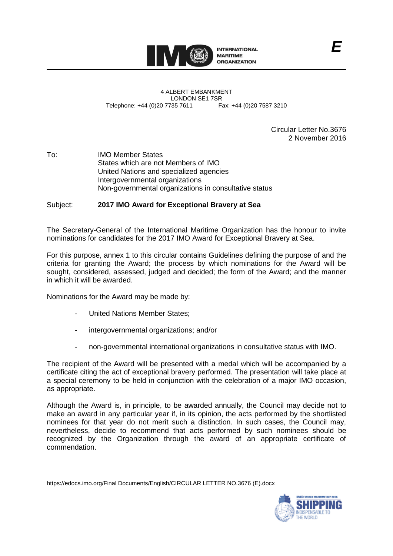

4 ALBERT EMBANKMENT LONDON SE1 7SR<br>735 7611 Fax: +44 (0)20 7587 3210 Telephone: +44 (0)20 7735 7611

> Circular Letter No.3676 2 November 2016

To: IMO Member States States which are not Members of IMO United Nations and specialized agencies Intergovernmental organizations Non-governmental organizations in consultative status

## Subject: **2017 IMO Award for Exceptional Bravery at Sea**

The Secretary-General of the International Maritime Organization has the honour to invite nominations for candidates for the 2017 IMO Award for Exceptional Bravery at Sea.

For this purpose, annex 1 to this circular contains Guidelines defining the purpose of and the criteria for granting the Award; the process by which nominations for the Award will be sought, considered, assessed, judged and decided; the form of the Award; and the manner in which it will be awarded.

Nominations for the Award may be made by:

- United Nations Member States;
- intergovernmental organizations; and/or
- non-governmental international organizations in consultative status with IMO.

The recipient of the Award will be presented with a medal which will be accompanied by a certificate citing the act of exceptional bravery performed. The presentation will take place at a special ceremony to be held in conjunction with the celebration of a major IMO occasion, as appropriate.

Although the Award is, in principle, to be awarded annually, the Council may decide not to make an award in any particular year if, in its opinion, the acts performed by the shortlisted nominees for that year do not merit such a distinction. In such cases, the Council may, nevertheless, decide to recommend that acts performed by such nominees should be recognized by the Organization through the award of an appropriate certificate of commendation.

https://edocs.imo.org/Final Documents/English/CIRCULAR LETTER NO.3676 (E).docx

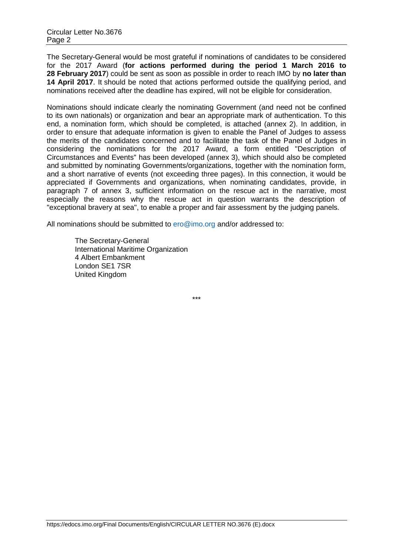The Secretary-General would be most grateful if nominations of candidates to be considered for the 2017 Award (**for actions performed during the period 1 March 2016 to 28 February 2017**) could be sent as soon as possible in order to reach IMO by **no later than 14 April 2017**. It should be noted that actions performed outside the qualifying period, and nominations received after the deadline has expired, will not be eligible for consideration.

Nominations should indicate clearly the nominating Government (and need not be confined to its own nationals) or organization and bear an appropriate mark of authentication. To this end, a nomination form, which should be completed, is attached (annex 2). In addition, in order to ensure that adequate information is given to enable the Panel of Judges to assess the merits of the candidates concerned and to facilitate the task of the Panel of Judges in considering the nominations for the 2017 Award, a form entitled "Description of Circumstances and Events" has been developed (annex 3), which should also be completed and submitted by nominating Governments/organizations, together with the nomination form, and a short narrative of events (not exceeding three pages). In this connection, it would be appreciated if Governments and organizations, when nominating candidates, provide, in paragraph 7 of annex 3, sufficient information on the rescue act in the narrative, most especially the reasons why the rescue act in question warrants the description of "exceptional bravery at sea", to enable a proper and fair assessment by the judging panels.

All nominations should be submitted to [ero@imo.org](mailto:ero@imo.org) and/or addressed to:

The Secretary-General International Maritime Organization 4 Albert Embankment London SE1 7SR United Kingdom

\*\*\*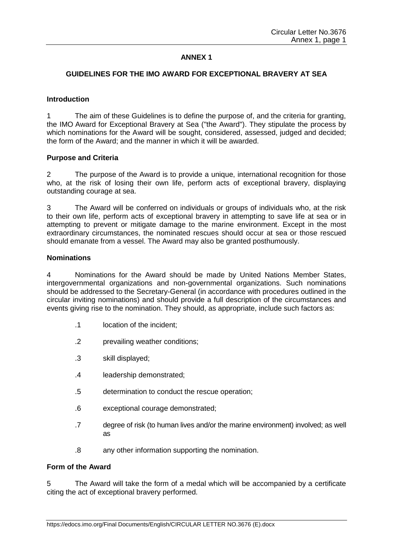# **ANNEX 1**

## **GUIDELINES FOR THE IMO AWARD FOR EXCEPTIONAL BRAVERY AT SEA**

#### **Introduction**

1 The aim of these Guidelines is to define the purpose of, and the criteria for granting, the IMO Award for Exceptional Bravery at Sea ("the Award"). They stipulate the process by which nominations for the Award will be sought, considered, assessed, judged and decided; the form of the Award; and the manner in which it will be awarded.

#### **Purpose and Criteria**

2 The purpose of the Award is to provide a unique, international recognition for those who, at the risk of losing their own life, perform acts of exceptional bravery, displaying outstanding courage at sea.

3 The Award will be conferred on individuals or groups of individuals who, at the risk to their own life, perform acts of exceptional bravery in attempting to save life at sea or in attempting to prevent or mitigate damage to the marine environment. Except in the most extraordinary circumstances, the nominated rescues should occur at sea or those rescued should emanate from a vessel. The Award may also be granted posthumously.

#### **Nominations**

4 Nominations for the Award should be made by United Nations Member States, intergovernmental organizations and non-governmental organizations. Such nominations should be addressed to the Secretary-General (in accordance with procedures outlined in the circular inviting nominations) and should provide a full description of the circumstances and events giving rise to the nomination. They should, as appropriate, include such factors as:

- .1 location of the incident;
- .2 prevailing weather conditions;
- .3 skill displayed;
- .4 leadership demonstrated;
- .5 determination to conduct the rescue operation;
- .6 exceptional courage demonstrated;
- .7 degree of risk (to human lives and/or the marine environment) involved; as well as
- .8 any other information supporting the nomination.

#### **Form of the Award**

5 The Award will take the form of a medal which will be accompanied by a certificate citing the act of exceptional bravery performed.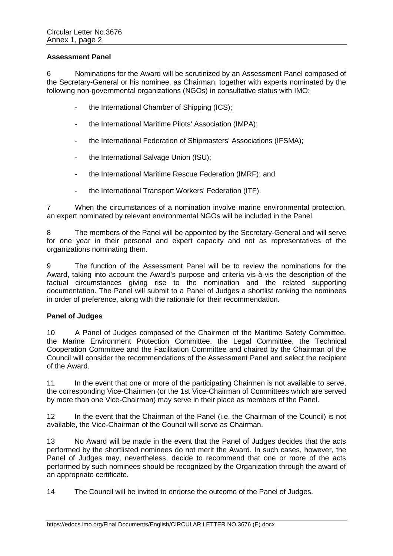## **Assessment Panel**

6 Nominations for the Award will be scrutinized by an Assessment Panel composed of the Secretary-General or his nominee, as Chairman, together with experts nominated by the following non-governmental organizations (NGOs) in consultative status with IMO:

- the International Chamber of Shipping (ICS);
- the International Maritime Pilots' Association (IMPA);
- the International Federation of Shipmasters' Associations (IFSMA);
- the International Salvage Union (ISU);
- the International Maritime Rescue Federation (IMRF); and
- the International Transport Workers' Federation (ITF).

7 When the circumstances of a nomination involve marine environmental protection, an expert nominated by relevant environmental NGOs will be included in the Panel.

8 The members of the Panel will be appointed by the Secretary-General and will serve for one year in their personal and expert capacity and not as representatives of the organizations nominating them.

9 The function of the Assessment Panel will be to review the nominations for the Award, taking into account the Award's purpose and criteria vis-à-vis the description of the factual circumstances giving rise to the nomination and the related supporting documentation. The Panel will submit to a Panel of Judges a shortlist ranking the nominees in order of preference, along with the rationale for their recommendation.

## **Panel of Judges**

10 A Panel of Judges composed of the Chairmen of the Maritime Safety Committee, the Marine Environment Protection Committee, the Legal Committee, the Technical Cooperation Committee and the Facilitation Committee and chaired by the Chairman of the Council will consider the recommendations of the Assessment Panel and select the recipient of the Award.

11 In the event that one or more of the participating Chairmen is not available to serve, the corresponding Vice-Chairmen (or the 1st Vice-Chairman of Committees which are served by more than one Vice-Chairman) may serve in their place as members of the Panel.

12 In the event that the Chairman of the Panel (i.e. the Chairman of the Council) is not available, the Vice-Chairman of the Council will serve as Chairman.

13 No Award will be made in the event that the Panel of Judges decides that the acts performed by the shortlisted nominees do not merit the Award. In such cases, however, the Panel of Judges may, nevertheless, decide to recommend that one or more of the acts performed by such nominees should be recognized by the Organization through the award of an appropriate certificate.

14 The Council will be invited to endorse the outcome of the Panel of Judges.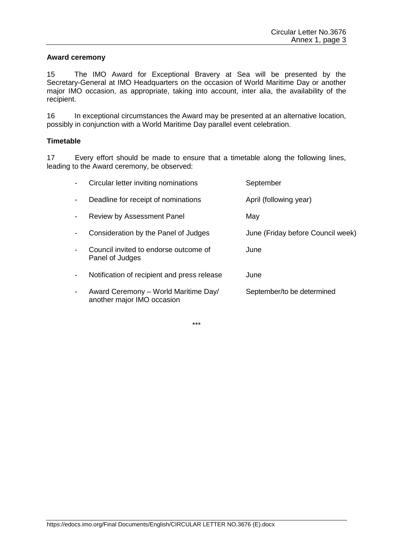#### **Award ceremony**

15 The IMO Award for Exceptional Bravery at Sea will be presented by the Secretary-General at IMO Headquarters on the occasion of World Maritime Day or another major IMO occasion, as appropriate, taking into account, inter alia, the availability of the recipient.

16 In exceptional circumstances the Award may be presented at an alternative location, possibly in conjunction with a World Maritime Day parallel event celebration.

#### **Timetable**

17 Every effort should be made to ensure that a timetable along the following lines, leading to the Award ceremony, be observed:

|                          | Circular letter inviting nominations                               | September                         |
|--------------------------|--------------------------------------------------------------------|-----------------------------------|
| $\blacksquare$           | Deadline for receipt of nominations                                | April (following year)            |
| $\overline{\phantom{a}}$ | Review by Assessment Panel                                         | May                               |
|                          | Consideration by the Panel of Judges                               | June (Friday before Council week) |
|                          | Council invited to endorse outcome of<br>Panel of Judges           | June                              |
| -                        | Notification of recipient and press release                        | June                              |
| -                        | Award Ceremony - World Maritime Day/<br>another major IMO occasion | September/to be determined        |

\*\*\*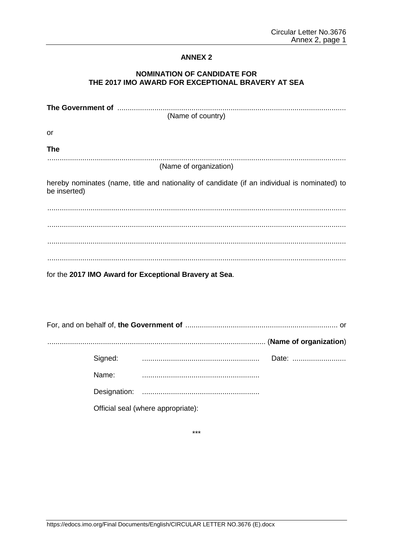## **ANNEX 2**

# **NOMINATION OF CANDIDATE FOR** THE 2017 IMO AWARD FOR EXCEPTIONAL BRAVERY AT SEA

| (Name of country)                                                                                             |  |  |  |  |  |
|---------------------------------------------------------------------------------------------------------------|--|--|--|--|--|
| or                                                                                                            |  |  |  |  |  |
| <b>The</b>                                                                                                    |  |  |  |  |  |
| (Name of organization)                                                                                        |  |  |  |  |  |
| hereby nominates (name, title and nationality of candidate (if an individual is nominated) to<br>be inserted) |  |  |  |  |  |
|                                                                                                               |  |  |  |  |  |
|                                                                                                               |  |  |  |  |  |
|                                                                                                               |  |  |  |  |  |
|                                                                                                               |  |  |  |  |  |
| for the 2017 IMO Award for Exceptional Bravery at Sea.                                                        |  |  |  |  |  |
|                                                                                                               |  |  |  |  |  |

|  | Signed: |                                    | Date: |
|--|---------|------------------------------------|-------|
|  | Name:   |                                    |       |
|  |         |                                    |       |
|  |         | Official seal (where appropriate): |       |

 $***$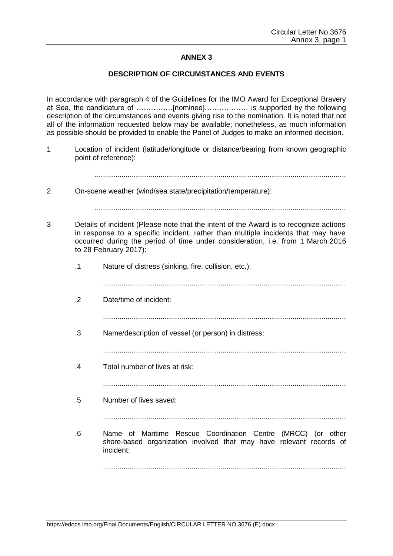# **ANNEX 3**

## **DESCRIPTION OF CIRCUMSTANCES AND EVENTS**

In accordance with paragraph 4 of the Guidelines for the IMO Award for Exceptional Bravery at Sea, the candidature of ……………[nominee]……………… is supported by the following description of the circumstances and events giving rise to the nomination. It is noted that not all of the information requested below may be available; nonetheless, as much information as possible should be provided to enable the Panel of Judges to make an informed decision.

1 Location of incident (latitude/longitude or distance/bearing from known geographic point of reference):

..........................................................................................................................

2 On-scene weather (wind/sea state/precipitation/temperature):

- 3 Details of incident (Please note that the intent of the Award is to recognize actions in response to a specific incident, rather than multiple incidents that may have occurred during the period of time under consideration, i.e. from 1 March 2016 to 28 February 2017):
	- .1 Nature of distress (sinking, fire, collision, etc.):
		- ......................................................................................................................
	- .2 Date/time of incident:
		- ......................................................................................................................
	- .3 Name/description of vessel (or person) in distress:

```
......................................................................................................................
```
.4 Total number of lives at risk:

......................................................................................................................

- .5 Number of lives saved:
	- ......................................................................................................................
- .6 Name of Maritime Rescue Coordination Centre (MRCC) (or other shore-based organization involved that may have relevant records of incident:

......................................................................................................................